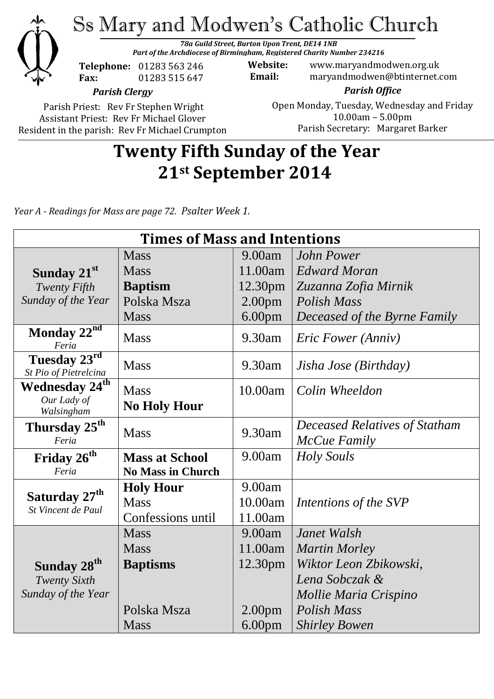

Parish Priest: Rev Fr Stephen Wright Assistant Priest: Rev Fr Michael Glover Resident in the parish: Rev Fr Michael Crumpton

#### Open Monday, Tuesday, Wednesday and Friday 10.00am – 5.00pm Parish Secretary:Margaret Barker

# **Twenty Fifth Sunday of the Year 21st September 2014**

*Year A - Readings for Mass are page 72. Psalter Week 1.*

| <b>Times of Mass and Intentions</b>             |                                 |                    |                               |
|-------------------------------------------------|---------------------------------|--------------------|-------------------------------|
|                                                 | <b>Mass</b>                     | 9.00am             | <b>John Power</b>             |
| Sunday 21 <sup>st</sup>                         | <b>Mass</b>                     | 11.00am            | <b>Edward Moran</b>           |
| <b>Twenty Fifth</b>                             | <b>Baptism</b>                  | 12.30pm            | Zuzanna Zofia Mirnik          |
| Sunday of the Year                              | Polska Msza                     | 2.00 <sub>pm</sub> | Polish Mass                   |
|                                                 | <b>Mass</b>                     | 6.00 <sub>pm</sub> | Deceased of the Byrne Family  |
| Monday 22 <sup>nd</sup><br>Feria                | <b>Mass</b>                     | 9.30am             | <i>Eric Fower (Anniv)</i>     |
| Tuesday 23rd<br>St Pio of Pietrelcina           | <b>Mass</b>                     | 9.30am             | Jisha Jose (Birthday)         |
| Wednesday 24 <sup>th</sup>                      | <b>Mass</b>                     | 10.00am            | Colin Wheeldon                |
| Our Lady of<br>Walsingham                       | <b>No Holy Hour</b>             |                    |                               |
| Thursday 25 <sup>th</sup><br>Feria              | <b>Mass</b>                     | 9.30am             | Deceased Relatives of Statham |
|                                                 |                                 |                    | McCue Family                  |
| Friday 26 <sup>th</sup><br>Feria                | <b>Mass at School</b>           | 9.00am             | Holy Souls                    |
|                                                 | <b>No Mass in Church</b>        | 9.00am             |                               |
| Saturday 27 <sup>th</sup><br>St Vincent de Paul | <b>Holy Hour</b><br><b>Mass</b> | 10.00am            |                               |
|                                                 |                                 |                    | Intentions of the SVP         |
|                                                 | Confessions until               | 11.00am            |                               |
|                                                 | <b>Mass</b>                     | 9.00am             | Janet Walsh                   |
|                                                 | <b>Mass</b>                     | 11.00am            | <b>Martin Morley</b>          |
| Sunday 28 <sup>th</sup>                         | <b>Baptisms</b>                 | 12.30pm            | Wiktor Leon Zbikowski,        |
| <b>Twenty Sixth</b>                             |                                 |                    | Lena Sobczak &                |
| Sunday of the Year                              |                                 |                    | Mollie Maria Crispino         |
|                                                 | Polska Msza                     | 2.00 <sub>pm</sub> | <b>Polish Mass</b>            |
|                                                 | <b>Mass</b>                     | 6.00 <sub>pm</sub> | <b>Shirley Bowen</b>          |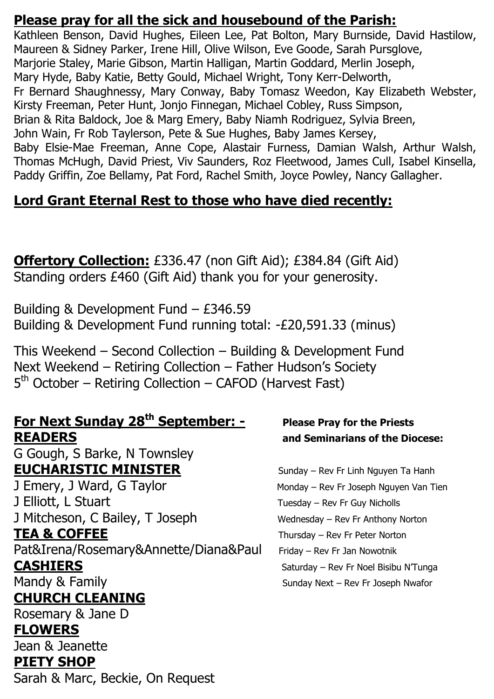#### **Please pray for all the sick and housebound of the Parish:**

Kathleen Benson, David Hughes, Eileen Lee, Pat Bolton, Mary Burnside, David Hastilow, Maureen & Sidney Parker, Irene Hill, Olive Wilson, Eve Goode, Sarah Pursglove, Marjorie Staley, Marie Gibson, Martin Halligan, Martin Goddard, Merlin Joseph, Mary Hyde, Baby Katie, Betty Gould, Michael Wright, Tony Kerr-Delworth, Fr Bernard Shaughnessy, Mary Conway, Baby Tomasz Weedon, Kay Elizabeth Webster, Kirsty Freeman, Peter Hunt, Jonjo Finnegan, Michael Cobley, Russ Simpson, Brian & Rita Baldock, Joe & Marg Emery, Baby Niamh Rodriguez, Sylvia Breen, John Wain, Fr Rob Taylerson, Pete & Sue Hughes, Baby James Kersey, Baby Elsie-Mae Freeman, Anne Cope, Alastair Furness, Damian Walsh, Arthur Walsh, Thomas McHugh, David Priest, Viv Saunders, Roz Fleetwood, James Cull, Isabel Kinsella, Paddy Griffin, Zoe Bellamy, Pat Ford, Rachel Smith, Joyce Powley, Nancy Gallagher.

#### **Lord Grant Eternal Rest to those who have died recently:**

**Offertory Collection:** £336.47 (non Gift Aid); £384.84 (Gift Aid) Standing orders £460 (Gift Aid) thank you for your generosity.

Building & Development Fund – £346.59 Building & Development Fund running total: -£20,591.33 (minus)

This Weekend – Second Collection – Building & Development Fund Next Weekend – Retiring Collection – Father Hudson's Society 5<sup>th</sup> October – Retiring Collection – CAFOD (Harvest Fast)

#### **For Next Sunday 28th September: - Please Pray for the Priests READERS and Seminarians of the Diocese:**

G Gough, S Barke, N Townsley **EUCHARISTIC MINISTER** Sunday – Rev Fr Linh Nguyen Ta Hanh

J Emery, J Ward, G Taylor Monday – Rev Fr Joseph Nguyen Van Tien J Elliott, L Stuart Tuesday – Rev Fr Guy Nicholls J Mitcheson, C Bailey, T Joseph Wednesday – Rev Fr Anthony Norton **TEA & COFFEE** Thursday – Rev Fr Peter Norton Pat&Irena/Rosemary&Annette/Diana&Paul Friday – Rev Fr Jan Nowotnik **CASHIERS** Saturday – Rev Fr Noel Bisibu N'Tunga

### **CHURCH CLEANING**

Rosemary & Jane D

#### **FLOWERS**

Jean & Jeanette

## **PIETY SHOP**

Sarah & Marc, Beckie, On Request

Mandy & Family Mandy & Family Sunday Next – Rev Fr Joseph Nwafor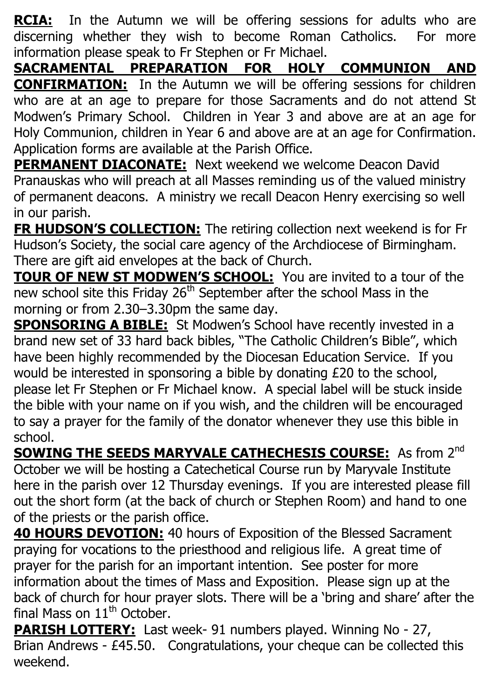**RCIA:** In the Autumn we will be offering sessions for adults who are discerning whether they wish to become Roman Catholics. For more information please speak to Fr Stephen or Fr Michael.

**SACRAMENTAL PREPARATION FOR HOLY COMMUNION AND CONFIRMATION:** In the Autumn we will be offering sessions for children who are at an age to prepare for those Sacraments and do not attend St Modwen's Primary School. Children in Year 3 and above are at an age for Holy Communion, children in Year 6 and above are at an age for Confirmation. Application forms are available at the Parish Office.

**PERMANENT DIACONATE:** Next weekend we welcome Deacon David Pranauskas who will preach at all Masses reminding us of the valued ministry of permanent deacons. A ministry we recall Deacon Henry exercising so well in our parish.

**FR HUDSON'S COLLECTION:** The retiring collection next weekend is for Fr Hudson's Society, the social care agency of the Archdiocese of Birmingham. There are gift aid envelopes at the back of Church.

**TOUR OF NEW ST MODWEN'S SCHOOL:** You are invited to a tour of the new school site this Friday  $26<sup>th</sup>$  September after the school Mass in the morning or from 2.30–3.30pm the same day.

**SPONSORING A BIBLE:** St Modwen's School have recently invested in a brand new set of 33 hard back bibles, "The Catholic Children's Bible", which have been highly recommended by the Diocesan Education Service. If you would be interested in sponsoring a bible by donating £20 to the school, please let Fr Stephen or Fr Michael know. A special label will be stuck inside the bible with your name on if you wish, and the children will be encouraged to say a prayer for the family of the donator whenever they use this bible in school.

**SOWING THE SEEDS MARYVALE CATHECHESIS COURSE:** As from 2<sup>nd</sup> October we will be hosting a Catechetical Course run by Maryvale Institute here in the parish over 12 Thursday evenings. If you are interested please fill out the short form (at the back of church or Stephen Room) and hand to one of the priests or the parish office.

**40 HOURS DEVOTION:** 40 hours of Exposition of the Blessed Sacrament praying for vocations to the priesthood and religious life. A great time of prayer for the parish for an important intention. See poster for more information about the times of Mass and Exposition. Please sign up at the back of church for hour prayer slots. There will be a 'bring and share' after the final Mass on  $11<sup>th</sup>$  October.

**PARISH LOTTERY:** Last week- 91 numbers played. Winning No - 27, Brian Andrews - £45.50. Congratulations, your cheque can be collected this weekend.